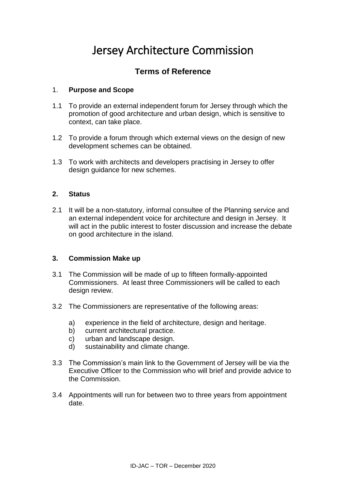# Jersey Architecture Commission

## **Terms of Reference**

#### 1. **Purpose and Scope**

- 1.1 To provide an external independent forum for Jersey through which the promotion of good architecture and urban design, which is sensitive to context, can take place.
- 1.2 To provide a forum through which external views on the design of new development schemes can be obtained.
- 1.3 To work with architects and developers practising in Jersey to offer design guidance for new schemes.

#### **2. Status**

2.1 It will be a non-statutory, informal consultee of the Planning service and an external independent voice for architecture and design in Jersey. It will act in the public interest to foster discussion and increase the debate on good architecture in the island.

#### **3. Commission Make up**

- 3.1 The Commission will be made of up to fifteen formally-appointed Commissioners. At least three Commissioners will be called to each design review.
- 3.2 The Commissioners are representative of the following areas:
	- a) experience in the field of architecture, design and heritage.
	- b) current architectural practice.
	- c) urban and landscape design.
	- d) sustainability and climate change.
- 3.3 The Commission's main link to the Government of Jersey will be via the Executive Officer to the Commission who will brief and provide advice to the Commission.
- 3.4 Appointments will run for between two to three years from appointment date.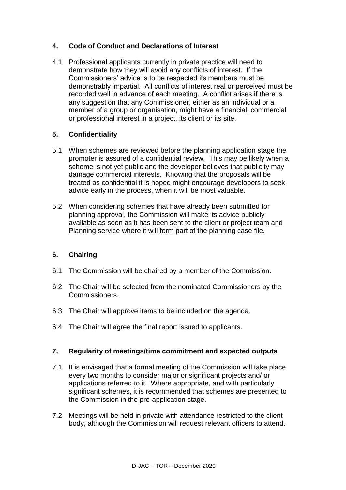### **4. Code of Conduct and Declarations of Interest**

4.1 Professional applicants currently in private practice will need to demonstrate how they will avoid any conflicts of interest. If the Commissioners' advice is to be respected its members must be demonstrably impartial. All conflicts of interest real or perceived must be recorded well in advance of each meeting. A conflict arises if there is any suggestion that any Commissioner, either as an individual or a member of a group or organisation, might have a financial, commercial or professional interest in a project, its client or its site.

#### **5. Confidentiality**

- 5.1 When schemes are reviewed before the planning application stage the promoter is assured of a confidential review. This may be likely when a scheme is not yet public and the developer believes that publicity may damage commercial interests. Knowing that the proposals will be treated as confidential it is hoped might encourage developers to seek advice early in the process, when it will be most valuable.
- 5.2 When considering schemes that have already been submitted for planning approval, the Commission will make its advice publicly available as soon as it has been sent to the client or project team and Planning service where it will form part of the planning case file.

#### **6. Chairing**

- 6.1 The Commission will be chaired by a member of the Commission.
- 6.2 The Chair will be selected from the nominated Commissioners by the Commissioners.
- 6.3 The Chair will approve items to be included on the agenda.
- 6.4 The Chair will agree the final report issued to applicants.

#### **7. Regularity of meetings/time commitment and expected outputs**

- 7.1 It is envisaged that a formal meeting of the Commission will take place every two months to consider major or significant projects and/ or applications referred to it. Where appropriate, and with particularly significant schemes, it is recommended that schemes are presented to the Commission in the pre-application stage.
- 7.2 Meetings will be held in private with attendance restricted to the client body, although the Commission will request relevant officers to attend.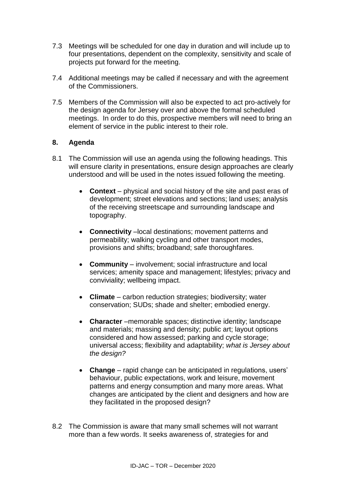- 7.3 Meetings will be scheduled for one day in duration and will include up to four presentations, dependent on the complexity, sensitivity and scale of projects put forward for the meeting.
- 7.4 Additional meetings may be called if necessary and with the agreement of the Commissioners.
- 7.5 Members of the Commission will also be expected to act pro-actively for the design agenda for Jersey over and above the formal scheduled meetings. In order to do this, prospective members will need to bring an element of service in the public interest to their role.

#### **8. Agenda**

- 8.1 The Commission will use an agenda using the following headings. This will ensure clarity in presentations, ensure design approaches are clearly understood and will be used in the notes issued following the meeting.
	- **Context** physical and social history of the site and past eras of development; street elevations and sections; land uses; analysis of the receiving streetscape and surrounding landscape and topography.
	- **Connectivity** –local destinations; movement patterns and permeability; walking cycling and other transport modes, provisions and shifts; broadband; safe thoroughfares.
	- **Community**  involvement; social infrastructure and local services; amenity space and management; lifestyles; privacy and conviviality; wellbeing impact.
	- **Climate**  carbon reduction strategies; biodiversity; water conservation; SUDs; shade and shelter; embodied energy.
	- **Character** –memorable spaces; distinctive identity; landscape and materials; massing and density; public art; layout options considered and how assessed; parking and cycle storage; universal access; flexibility and adaptability; *what is Jersey about the design?*
	- **Change** rapid change can be anticipated in regulations, users' behaviour, public expectations, work and leisure, movement patterns and energy consumption and many more areas. What changes are anticipated by the client and designers and how are they facilitated in the proposed design?
- 8.2 The Commission is aware that many small schemes will not warrant more than a few words. It seeks awareness of, strategies for and